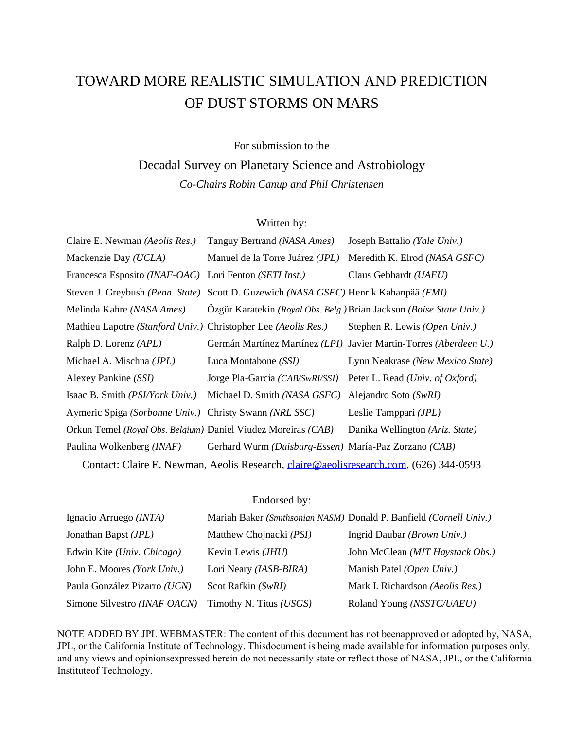# TOWARD MORE REALISTIC SIMULATION AND PREDICTION OF DUST STORMS ON MARS

## For submission to the

Decadal Survey on Planetary Science and Astrobiology *Co-Chairs Robin Canup and Phil Christensen*

## Written by:

| Claire E. Newman (Aeolis Res.)                                                        | Tanguy Bertrand (NASA Ames)                           | Joseph Battalio (Yale Univ.)                                         |  |
|---------------------------------------------------------------------------------------|-------------------------------------------------------|----------------------------------------------------------------------|--|
| Mackenzie Day (UCLA)                                                                  | Manuel de la Torre Juárez (JPL)                       | Meredith K. Elrod (NASA GSFC)                                        |  |
| Francesca Esposito (INAF-OAC) Lori Fenton (SETI Inst.)                                |                                                       | Claus Gebhardt (UAEU)                                                |  |
| Steven J. Greybush (Penn. State)                                                      | Scott D. Guzewich (NASA GSFC) Henrik Kahanpää (FMI)   |                                                                      |  |
| Melinda Kahre (NASA Ames)                                                             |                                                       | Özgür Karatekin (Royal Obs. Belg.) Brian Jackson (Boise State Univ.) |  |
| Mathieu Lapotre (Stanford Univ.) Christopher Lee (Aeolis Res.)                        |                                                       | Stephen R. Lewis (Open Univ.)                                        |  |
| Ralph D. Lorenz (APL)                                                                 |                                                       | Germán Martínez Martínez (LPI) Javier Martin-Torres (Aberdeen U.)    |  |
| Michael A. Mischna (JPL)                                                              | Luca Montabone (SSI)                                  | Lynn Neakrase (New Mexico State)                                     |  |
| Alexey Pankine (SSI)                                                                  | Jorge Pla-Garcia (CAB/SwRI/SSI)                       | Peter L. Read (Univ. of Oxford)                                      |  |
| Isaac B. Smith ( <i>PSI/York Univ.</i> )                                              | Michael D. Smith (NASA GSFC)                          | Alejandro Soto (SwRI)                                                |  |
| Aymeric Spiga (Sorbonne Univ.) Christy Swann (NRL SSC)                                |                                                       | Leslie Tamppari ( <i>JPL</i> )                                       |  |
| Orkun Temel (Royal Obs. Belgium) Daniel Viudez Moreiras (CAB)                         |                                                       | Danika Wellington (Ariz. State)                                      |  |
| Paulina Wolkenberg (INAF)                                                             | Gerhard Wurm (Duisburg-Essen) María-Paz Zorzano (CAB) |                                                                      |  |
| Contact: Claire E. Newman, Aeolis Research, claire@aeolisresearch.com, (626) 344-0593 |                                                       |                                                                      |  |

#### Endorsed by:

| Ignacio Arruego (INTA)        |                            | Mariah Baker (Smithsonian NASM) Donald P. Banfield (Cornell Univ.) |
|-------------------------------|----------------------------|--------------------------------------------------------------------|
| Jonathan Bapst ( <i>JPL</i> ) | Matthew Chojnacki (PSI)    | Ingrid Daubar (Brown Univ.)                                        |
| Edwin Kite (Univ. Chicago)    | Kevin Lewis ( <i>JHU</i> ) | John McClean (MIT Haystack Obs.)                                   |
| John E. Moores (York Univ.)   | Lori Neary (IASB-BIRA)     | Manish Patel (Open Univ.)                                          |
| Paula González Pizarro (UCN)  | Scot Rafkin (SwRI)         | Mark I. Richardson (Aeolis Res.)                                   |
| Simone Silvestro (INAF OACN)  | Timothy N. Titus (USGS)    | Roland Young (NSSTC/UAEU)                                          |

NOTE ADDED BY JPL WEBMASTER: The content of this document has not beenapproved or adopted by, NASA, JPL, or the California Institute of Technology. Thisdocument is being made available for information purposes only, and any views and opinionsexpressed herein do not necessarily state or reflect those of NASA, JPL, or the California Instituteof Technology.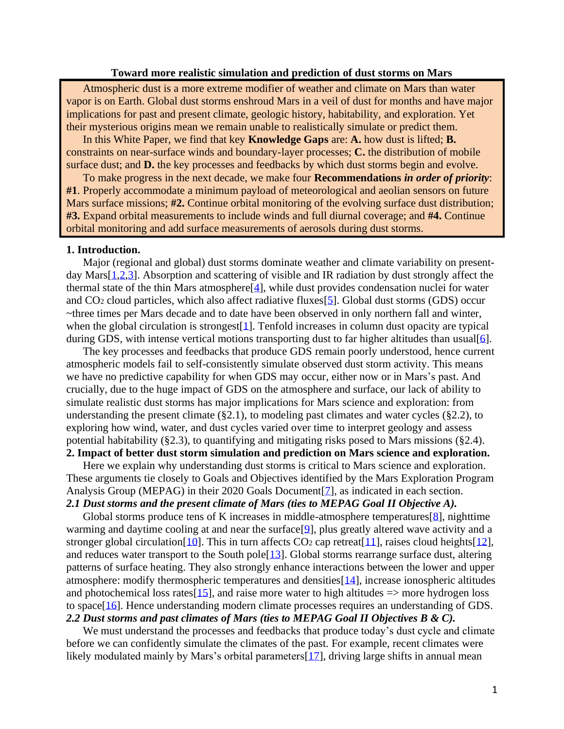#### **Toward more realistic simulation and prediction of dust storms on Mars**

Atmospheric dust is a more extreme modifier of weather and climate on Mars than water vapor is on Earth. Global dust storms enshroud Mars in a veil of dust for months and have major implications for past and present climate, geologic history, habitability, and exploration. Yet their mysterious origins mean we remain unable to realistically simulate or predict them.

In this White Paper, we find that key **Knowledge Gaps** are: **A.** how dust is lifted; **B.**  constraints on near-surface winds and boundary-layer processes; **C.** the distribution of mobile surface dust; and **D.** the key processes and feedbacks by which dust storms begin and evolve.

To make progress in the next decade, we make four **Recommendations** *in order of priority*: **#1**. Properly accommodate a minimum payload of meteorological and aeolian sensors on future Mars surface missions; **#2.** Continue orbital monitoring of the evolving surface dust distribution; **#3.** Expand orbital measurements to include winds and full diurnal coverage; and **#4.** Continue orbital monitoring and add surface measurements of aerosols during dust storms.

#### **1. Introduction.**

Major (regional and global) dust storms dominate weather and climate variability on presentday Mars[\[1](http://doi.org/10.1088/0034-4885/78/12/125901)[,2](https://ttu-ir.tdl.org/bitstream/handle/2346/72982/ICES_2017_175.pdf)[,3\]](http://doi.org/10.1007/s11214-017-0360-x). Absorption and scattering of visible and IR radiation by dust strongly affect the thermal state of the thin Mars atmosphere $[4]$ , while dust provides condensation nuclei for water and CO<sup>2</sup> cloud particles, which also affect radiative fluxes[\[5\]](http://doi.org/10.1002/2013JE004550). Global dust storms (GDS) occur ~three times per Mars decade and to date have been observed in only northern fall and winter, when the global circulation is strongest<sup>[\[1\]](http://doi.org/10.1088/0034-4885/78/12/125901)</sup>. Tenfold increases in column dust opacity are typical during GDS, with intense vertical motions transporting dust to far higher altitudes than usual[\[6\]](http://doi.org/10.1029/2019JE006110).

The key processes and feedbacks that produce GDS remain poorly understood, hence current atmospheric models fail to self-consistently simulate observed dust storm activity. This means we have no predictive capability for when GDS may occur, either now or in Mars's past. And crucially, due to the huge impact of GDS on the atmosphere and surface, our lack of ability to simulate realistic dust storms has major implications for Mars science and exploration: from understanding the present climate  $(\S 2.1)$ , to modeling past climates and water cycles  $(\S 2.2)$ , to exploring how wind, water, and dust cycles varied over time to interpret geology and assess potential habitability (§2.3), to quantifying and mitigating risks posed to Mars missions (§2.4).

## **2. Impact of better dust storm simulation and prediction on Mars science and exploration.**

Here we explain why understanding dust storms is critical to Mars science and exploration. These arguments tie closely to Goals and Objectives identified by the Mars Exploration Program Analysis Group (MEPAG) in their 2020 Goals Document<sup>[\[7\]](https://mepag.jpl.nasa.gov/reports/MEPAGGoals_2020_MainText_Final.pdf)</sup>, as indicated in each section. *2.1 Dust storms and the present climate of Mars (ties to MEPAG Goal II Objective A).*

Global storms produce tens of K increases in middle-atmosphere temperatures  $[8]$ , nighttime warming and daytime cooling at and near the surface [\[9\]](http://doi.org/10.1029/2019JE005985), plus greatly altered wave activity and a stronger global circulation[\[10\]](https://doi.org/10.1175/1520-0469(1996)053%3C1290:CMSOTT%3E2.0.CO;2). This in turn affects  $CO<sub>2</sub>$  cap retreat[\[11\]](http://doi.org/10.1016/j.pss.2007.08.003), raises cloud heights[\[12\]](http://doi.org/10.1029/2019JE006300), and reduces water transport to the South pole[\[13\]](https://doi.org/10.1016/j.icarus.2019.05.010). Global storms rearrange surface dust, altering patterns of surface heating. They also strongly enhance interactions between the lower and upper atmosphere: modify thermospheric temperatures and densities[\[14\]](https://doi.org/10.1029/2019GL082889), increase ionospheric altitudes and photochemical loss rates  $[15]$ , and raise more water to high altitudes  $\Rightarrow$  more hydrogen loss to space[\[16\]](https://doi.org/10.1029/2019JE006109). Hence understanding modern climate processes requires an understanding of GDS. *2.2 Dust storms and past climates of Mars (ties to MEPAG Goal II Objectives B & C).*

We must understand the processes and feedbacks that produce today's dust cycle and climate before we can confidently simulate the climates of the past. For example, recent climates were likely modulated mainly by Mars's orbital parameters<sup>[\[17\]](https://doi.org/10.1016/j.icarus.2004.04.005)</sup>, driving large shifts in annual mean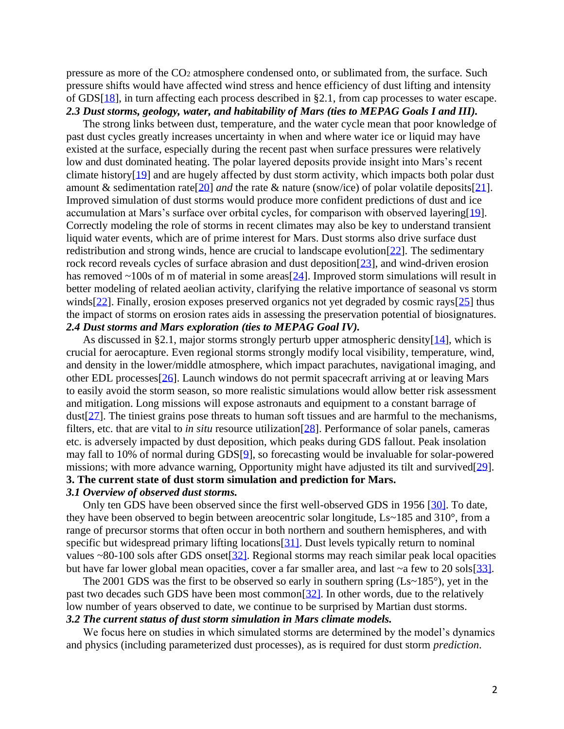pressure as more of the CO<sup>2</sup> atmosphere condensed onto, or sublimated from, the surface. Such pressure shifts would have affected wind stress and hence efficiency of dust lifting and intensity of GDS[\[18\]](https://doi.org/10.1016/S0019-1035(02)00017-9), in turn affecting each process described in §2.1, from cap processes to water escape. *2.3 Dust storms, geology, water, and habitability of Mars (ties to MEPAG Goals I and III).*

The strong links between dust, temperature, and the water cycle mean that poor knowledge of past dust cycles greatly increases uncertainty in when and where water ice or liquid may have existed at the surface, especially during the recent past when surface pressures were relatively low and dust dominated heating. The polar layered deposits provide insight into Mars's recent climate history[\[19\]](https://doi.org/10.1002/2016GL071197) and are hugely affected by dust storm activity, which impacts both polar dust amount & sedimentation rate[\[20\]](http://doi.org/10.1016/j.icarus.2012.08.009) *and* the rate & nature (snow/ice) of polar volatile deposits[\[21\]](http://doi.org/10.1038/nature03561). Improved simulation of dust storms would produce more confident predictions of dust and ice accumulation at Mars's surface over orbital cycles, for comparison with observed layering[\[19\]](https://doi.org/10.1002/2016GL071197). Correctly modeling the role of storms in recent climates may also be key to understand transient liquid water events, which are of prime interest for Mars. Dust storms also drive surface dust redistribution and strong winds, hence are crucial to landscape evolution[\[22\]](https://resolver.caltech.edu/CaltechETD:etd-03052003-124751). The sedimentary rock record reveals cycles of surface abrasion and dust deposition[\[23\]](https://doi.org/10.2110/pec.12.102.0001), and wind-driven erosion has removed  $\sim$ 100s of m of material in some areas $[24]$ . Improved storm simulations will result in better modeling of related aeolian activity, clarifying the relative importance of seasonal vs storm winds $[22]$ . Finally, erosion exposes preserved organics not yet degraded by cosmic rays $[25]$  thus the impact of storms on erosion rates aids in assessing the preservation potential of biosignatures. *2.4 Dust storms and Mars exploration (ties to MEPAG Goal IV).*

As discussed in §2.1, major storms strongly perturb upper atmospheric density  $[14]$ , which is crucial for aerocapture. Even regional storms strongly modify local visibility, temperature, wind, and density in the lower/middle atmosphere, which impact parachutes, navigational imaging, and other EDL processes[\[26\]](https://doi.org/10.1109/AERO.2010.5447015). Launch windows do not permit spacecraft arriving at or leaving Mars to easily avoid the storm season, so more realistic simulations would allow better risk assessment and mitigation. Long missions will expose astronauts and equipment to a constant barrage of dust[\[27\]](https://www.hou.usra.edu/meetings/marsdust2017/pdf/6035.pdf). The tiniest grains pose threats to human soft tissues and are harmful to the mechanisms, filters, etc. that are vital to *in situ* resource utilization[\[28\]](https://doi.org/10.1016/j.pss.2020.104975). Performance of solar panels, cameras etc. is adversely impacted by dust deposition, which peaks during GDS fallout. Peak insolation may fall to 10% of normal during GDS[\[9\]](http://doi.org/10.1029/2019JE005985), so forecasting would be invaluable for solar-powered missions; with more advance warning, Opportunity might have adjusted its tilt and survived[\[29\]](http://hdl.handle.net/2014/47103). **3. The current state of dust storm simulation and prediction for Mars.**

#### *3.1 Overview of observed dust storms.*

Only ten GDS have been observed since the first well-observed GDS in 1956 [\[30\]](http://doi.org/10.1016/j.icarus.2018.07.023). To date, they have been observed to begin between areocentric solar longitude, Ls~185 and 310°, from a range of precursor storms that often occur in both northern and southern hemispheres, and with specific but widespread primary lifting locations [\[31\]](https://doi.org/10.1016/j.icarus.2013.10.033). Dust levels typically return to nominal values  $\sim$ 80-100 sols after GDS onset $[32]$ . Regional storms may reach similar peak local opacities but have far lower global mean opacities, cover a far smaller area, and last  $\sim$ a few to 20 sols[\[33\]](https://doi.org/10.1029/2000JE001310).

The 2001 GDS was the first to be observed so early in southern spring  $(Ls~185^{\circ})$ , yet in the past two decades such GDS have been most common[\[32\]](http://doi.org/10.1029/2019JE006104). In other words, due to the relatively low number of years observed to date, we continue to be surprised by Martian dust storms. *3.2 The current status of dust storm simulation in Mars climate models.*

We focus here on studies in which simulated storms are determined by the model's dynamics and physics (including parameterized dust processes), as is required for dust storm *prediction*.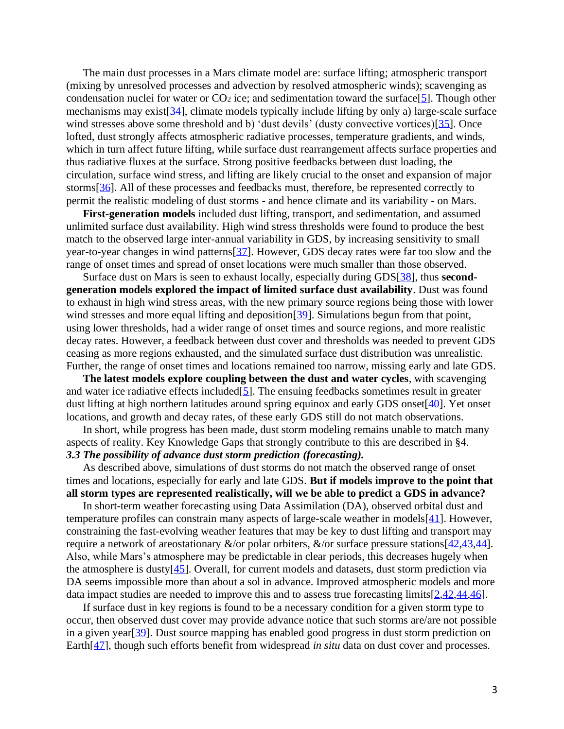The main dust processes in a Mars climate model are: surface lifting; atmospheric transport (mixing by unresolved processes and advection by resolved atmospheric winds); scavenging as condensation nuclei for water or  $CO<sub>2</sub>$  ice; and sedimentation toward the surface[\[5\]](http://doi.org/10.1002/2013JE004550). Though other mechanisms may exist[\[34\]](http://doi.org/10.1007/s11214-016-0296-6), climate models typically include lifting by only a) large-scale surface wind stresses above some threshold and b) 'dust devils' (dusty convective vortices)[\[35\]](http://doi.org/10.1029/2002JE001910). Once lofted, dust strongly affects atmospheric radiative processes, temperature gradients, and winds, which in turn affect future lifting, while surface dust rearrangement affects surface properties and thus radiative fluxes at the surface. Strong positive feedbacks between dust loading, the circulation, surface wind stress, and lifting are likely crucial to the onset and expansion of major storms[\[36\]](http://doi.org/10.1017/9781139060172.010). All of these processes and feedbacks must, therefore, be represented correctly to permit the realistic modeling of dust storms - and hence climate and its variability - on Mars.

**First-generation models** included dust lifting, transport, and sedimentation, and assumed unlimited surface dust availability. High wind stress thresholds were found to produce the best match to the observed large inter-annual variability in GDS, by increasing sensitivity to small year-to-year changes in wind patterns[\[37\]](http://doi.org/10.1029/2005JE002660). However, GDS decay rates were far too slow and the range of onset times and spread of onset locations were much smaller than those observed.

Surface dust on Mars is seen to exhaust locally, especially during GDS[\[38\]](http://doi.org/10.1029/2005JE002485), thus **secondgeneration models explored the impact of limited surface dust availability**. Dust was found to exhaust in high wind stress areas, with the new primary source regions being those with lower wind stresses and more equal lifting and deposition [\[39\]](http://doi.org/10.1016/j.icarus.2015.03.030). Simulations begun from that point, using lower thresholds, had a wider range of onset times and source regions, and more realistic decay rates. However, a feedback between dust cover and thresholds was needed to prevent GDS ceasing as more regions exhausted, and the simulated surface dust distribution was unrealistic. Further, the range of onset times and locations remained too narrow, missing early and late GDS.

**The latest models explore coupling between the dust and water cycles**, with scavenging and water ice radiative effects included  $[5]$ . The ensuing feedbacks sometimes result in greater dust lifting at high northern latitudes around spring equinox and early GDS onset[\[40\]](http://www-mars.lmd.jussieu.fr/paris2011/abstracts/kahre_paris2011.pdf). Yet onset locations, and growth and decay rates, of these early GDS still do not match observations.

In short, while progress has been made, dust storm modeling remains unable to match many aspects of reality. Key Knowledge Gaps that strongly contribute to this are described in §4. *3.3 The possibility of advance dust storm prediction (forecasting).*

As described above, simulations of dust storms do not match the observed range of onset times and locations, especially for early and late GDS. **But if models improve to the point that all storm types are represented realistically, will we be able to predict a GDS in advance?**

In short-term weather forecasting using Data Assimilation (DA), observed orbital dust and temperature profiles can constrain many aspects of large-scale weather in models[\[41\]](http://doi.org/10.1016/j.icarus.2007.08.009). However, constraining the fast-evolving weather features that may be key to dust lifting and transport may require a network of areostationary &/or polar orbiters, &/or surface pressure stations[\[42](https://doi.org/10.1016/S0032-0633(96)00058-X)[,43](http://bit.ly/DustStormsWhitePaperReferences)[,44\]](https://doi.org/10.1186/s40645-019-0276-z). Also, while Mars's atmosphere may be predictable in clear periods, this decreases hugely when the atmosphere is dusty[\[45\]](http://doi.org/10.1256/qj.03.209). Overall, for current models and datasets, dust storm prediction via DA seems impossible more than about a sol in advance. Improved atmospheric models and more data impact studies are needed to improve this and to assess true forecasting limits[\[2](https://ttu-ir.tdl.org/bitstream/handle/2346/72982/ICES_2017_175.pdf)[,42](https://doi.org/10.1016/S0032-0633(96)00058-X)[,44](https://doi.org/10.1186/s40645-019-0276-z)[,46\]](https://doi.org/10.1002/2017EA000274).

If surface dust in key regions is found to be a necessary condition for a given storm type to occur, then observed dust cover may provide advance notice that such storms are/are not possible in a given year[\[39\]](http://doi.org/10.1016/j.icarus.2015.03.030). Dust source mapping has enabled good progress in dust storm prediction on Earth<sup>[\[47\]](https://doi.org/10.1016/j.aeolia.2011.02.001)</sup>, though such efforts benefit from widespread *in situ* data on dust cover and processes.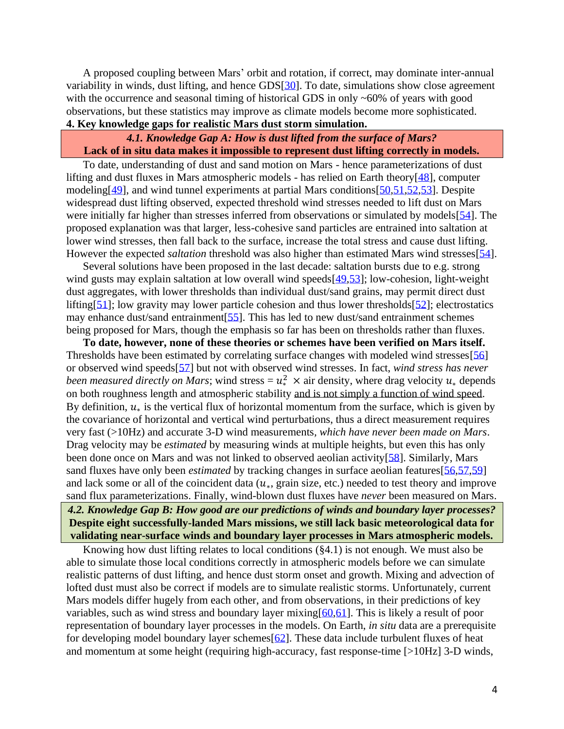A proposed coupling between Mars' orbit and rotation, if correct, may dominate inter-annual variability in winds, dust lifting, and hence GDS[\[30\]](https://doi.org/10.1016/j.icarus.2014.09.038). To date, simulations show close agreement with the occurrence and seasonal timing of historical GDS in only ~60% of years with good observations, but these statistics may improve as climate models become more sophisticated. **4. Key knowledge gaps for realistic Mars dust storm simulation.** 

# *4.1. Knowledge Gap A: How is dust lifted from the surface of Mars?* **Lack of in situ data makes it impossible to represent dust lifting correctly in models.**

To date, understanding of dust and sand motion on Mars - hence parameterizations of dust lifting and dust fluxes in Mars atmospheric models - has relied on Earth theory[\[48\]](http://doi.org/10.1088/0034-4885/75/10/106901), computer modeling[\[49\]](http://doi.org/10.1002/2017JE005275), and wind tunnel experiments at partial Mars conditions[\[50](https://doi.org/10.1029/GL007i002p00121)[,51,](https://doi.org/10.1016/j.icarus.2007.04.035)[52](http://doi.org/10.1016/j.icarus.2018.01.007)[,53\]](http://doi.org/10.1029/2019GL084484). Despite widespread dust lifting observed, expected threshold wind stresses needed to lift dust on Mars were initially far higher than stresses inferred from observations or simulated by models [\[54\]](https://doi.org/10.1016/0019-1035(76)90141-X). The proposed explanation was that larger, less-cohesive sand particles are entrained into saltation at lower wind stresses, then fall back to the surface, increase the total stress and cause dust lifting. However the expected *saltation* threshold was also higher than estimated Mars wind stresses[\[54\]](https://doi.org/10.1016/0019-1035(76)90141-X).

Several solutions have been proposed in the last decade: saltation bursts due to e.g. strong wind gusts may explain saltation at low overall wind speeds [\[49,](http://doi.org/10.1002/2017JE005275)[53\]](http://doi.org/10.1029/2019GL084484); low-cohesion, light-weight dust aggregates, with lower thresholds than individual dust/sand grains, may permit direct dust lifting  $[51]$ ; low gravity may lower particle cohesion and thus lower thresholds  $[52]$ ; electrostatics may enhance dust/sand entrainment[\[55\]](http://doi.org/10.1002/2016GL068463). This has led to new dust/sand entrainment schemes being proposed for Mars, though the emphasis so far has been on thresholds rather than fluxes.

**To date, however, none of these theories or schemes have been verified on Mars itself.**  Thresholds have been estimated by correlating surface changes with modeled wind stresses[\[56\]](http://doi.org/10.1038/ncomms6096) or observed wind speeds[\[57\]](http://doi.org/10.1002/2017JE005263) but not with observed wind stresses. In fact, *wind stress has never been measured directly on Mars*; wind stress =  $u^2 \times$  air density, where drag velocity  $u_*$  depends on both roughness length and atmospheric stability and is not simply a function of wind speed. By definition,  $u_*$  is the vertical flux of horizontal momentum from the surface, which is given by the covariance of horizontal and vertical wind perturbations, thus a direct measurement requires very fast (>10Hz) and accurate 3-D wind measurements*, which have never been made on Mars*. Drag velocity may be *estimated* by measuring winds at multiple heights, but even this has only been done once on Mars and was not linked to observed aeolian activity[\[58\]](http://doi.org/10.1029/1999JE001234). Similarly, Mars sand fluxes have only been *estimated* by tracking changes in surface aeolian features [\[56,](http://doi.org/10.1038/ncomms6096)[57,](http://doi.org/10.1002/2017JE005263)[59\]](https://doi.org/10.1038/nature11022) and lack some or all of the coincident data  $(u_*, g$ rain size, etc.) needed to test theory and improve sand flux parameterizations. Finally, wind-blown dust fluxes have *never* been measured on Mars.

# *4.2. Knowledge Gap B: How good are our predictions of winds and boundary layer processes?* **Despite eight successfully-landed Mars missions, we still lack basic meteorological data for validating near-surface winds and boundary layer processes in Mars atmospheric models.**

Knowing how dust lifting relates to local conditions (§4.1) is not enough. We must also be able to simulate those local conditions correctly in atmospheric models before we can simulate realistic patterns of dust lifting, and hence dust storm onset and growth. Mixing and advection of lofted dust must also be correct if models are to simulate realistic storms. Unfortunately, current Mars models differ hugely from each other, and from observations, in their predictions of key variables, such as wind stress and boundary layer mixing[\[60](https://bit.ly/MultiModelMetComparison)[,61\]](http://doi.org/10.1016/j.icarus.2016.12.016). This is likely a result of poor representation of boundary layer processes in the models. On Earth, *in situ* data are a prerequisite for developing model boundary layer schemes  $[62]$ . These data include turbulent fluxes of heat and momentum at some height (requiring high-accuracy, fast response-time [>10Hz] 3-D winds,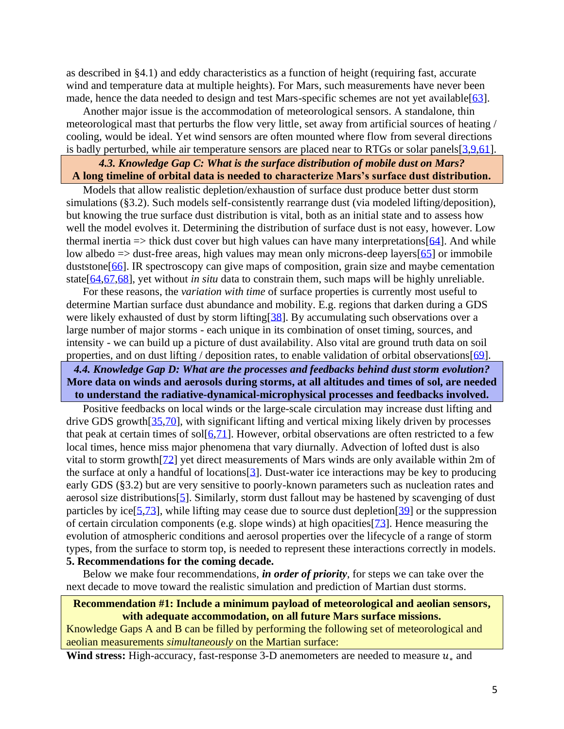as described in §4.1) and eddy characteristics as a function of height (requiring fast, accurate wind and temperature data at multiple heights). For Mars, such measurements have never been made, hence the data needed to design and test Mars-specific schemes are not yet available[\[63\]](https://www.boulder.swri.edu/~rafkin/MarsMet/MarsSfcMet.pdf).

Another major issue is the accommodation of meteorological sensors. A standalone, thin meteorological mast that perturbs the flow very little, set away from artificial sources of heating / cooling, would be ideal. Yet wind sensors are often mounted where flow from several directions is badly perturbed, while air temperature sensors are placed near to RTGs or solar panels  $[3, 9, 61]$  $[3, 9, 61]$ .

# *4.3. Knowledge Gap C: What is the surface distribution of mobile dust on Mars?* **A long timeline of orbital data is needed to characterize Mars's surface dust distribution.**

Models that allow realistic depletion/exhaustion of surface dust produce better dust storm simulations (§3.2). Such models self-consistently rearrange dust (via modeled lifting/deposition), but knowing the true surface dust distribution is vital, both as an initial state and to assess how well the model evolves it. Determining the distribution of surface dust is not easy, however. Low thermal inertia  $\Rightarrow$  thick dust cover but high values can have many interpretations [\[64\]](http://doi.org/10.1029/2001JE001580). And while low albedo  $\Rightarrow$  dust-free areas, high values may mean only microns-deep layers [\[65\]](https://doi.org/10.1016/0019-1035(84)90079-4) or immobile duststone<sup>[\[66\]](https://doi.org/10.2110/pec.12.102.0169)</sup>. IR spectroscopy can give maps of composition, grain size and maybe cementation state[\[64,](http://doi.org/10.1029/2001JE001580)[67,](https://doi.org/10.1016/j.atmosenv.2006.10.061)[68\]](http://bit.ly/DustStormsWhitePaperReferences), yet without *in situ* data to constrain them, such maps will be highly unreliable.

For these reasons, the *variation with time* of surface properties is currently most useful to determine Martian surface dust abundance and mobility. E.g. regions that darken during a GDS were likely exhausted of dust by storm lifting[\[38\]](http://doi.org/10.1029/2005JE002485). By accumulating such observations over a large number of major storms - each unique in its combination of onset timing, sources, and intensity - we can build up a picture of dust availability. Also vital are ground truth data on soil properties, and on dust lifting / deposition rates, to enable validation of orbital observations [\[69\]](http://doi.org/10.1002/2014EA000073).

## *4.4. Knowledge Gap D: What are the processes and feedbacks behind dust storm evolution?* **More data on winds and aerosols during storms, at all altitudes and times of sol, are needed to understand the radiative-dynamical-microphysical processes and feedbacks involved.**

Positive feedbacks on local winds or the large-scale circulation may increase dust lifting and drive GDS growth[\[35](http://doi.org/10.1029/2002JE001910)[,70\]](https://doi.org/10.1029/2019JE006122), with significant lifting and vertical mixing likely driven by processes that peak at certain times of sol $[6,71]$  $[6,71]$ . However, orbital observations are often restricted to a few local times, hence miss major phenomena that vary diurnally. Advection of lofted dust is also vital to storm growth[\[72\]](https://doi.org/10.1029/2019JE006106) yet direct measurements of Mars winds are only available within 2m of the surface at only a handful of locations  $[3]$ . Dust-water ice interactions may be key to producing early GDS (§3.2) but are very sensitive to poorly-known parameters such as nucleation rates and aerosol size distributions[\[5\]](http://doi.org/10.1002/2013JE004550). Similarly, storm dust fallout may be hastened by scavenging of dust particles by ice<sup>[\[5](http://doi.org/10.1002/2013JE004550)[,73\]](http://doi.org/10.1029/JB084iB06p02929)</sup>, while lifting may cease due to source dust depletion<sup>[\[39\]](http://doi.org/10.1016/j.icarus.2015.03.030)</sup> or the suppression of certain circulation components (e.g. slope winds) at high opacities  $[73]$ . Hence measuring the evolution of atmospheric conditions and aerosol properties over the lifecycle of a range of storm types, from the surface to storm top, is needed to represent these interactions correctly in models. **5. Recommendations for the coming decade.** 

Below we make four recommendations, *in order of priority*, for steps we can take over the next decade to move toward the realistic simulation and prediction of Martian dust storms.

### **Recommendation #1: Include a minimum payload of meteorological and aeolian sensors, with adequate accommodation, on all future Mars surface missions.**

Knowledge Gaps A and B can be filled by performing the following set of meteorological and aeolian measurements *simultaneously* on the Martian surface:

**Wind stress:** High-accuracy, fast-response 3-D anemometers are needed to measure  $u_*$  and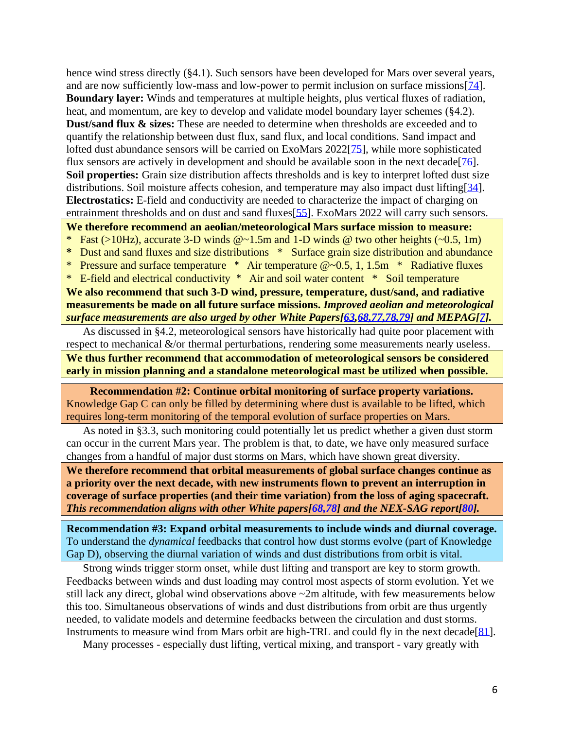hence wind stress directly (§4.1). Such sensors have been developed for Mars over several years, and are now sufficiently low-mass and low-power to permit inclusion on surface missions[\[74\]](https://doi.org/10.1121/1.4960737). **Boundary layer:** Winds and temperatures at multiple heights, plus vertical fluxes of radiation, heat, and momentum, are key to develop and validate model boundary layer schemes (§4.2). **Dust/sand flux & sizes:** These are needed to determine when thresholds are exceeded and to quantify the relationship between dust flux, sand flux, and local conditions. Sand impact and lofted dust abundance sensors will be carried on ExoMars 2022[\[75\]](https://doi.org/10.1016/j.measurement.2017.12.041), while more sophisticated flux sensors are actively in development and should be available soon in the next decade [\[76\]](https://doi.org/https:/doi.org/10.1016/j.pss.2006.05.026). **Soil properties:** Grain size distribution affects thresholds and is key to interpret lofted dust size distributions. Soil moisture affects cohesion, and temperature may also impact dust lifting[\[34\]](http://doi.org/10.1007/s11214-016-0296-6). **Electrostatics:** E-field and conductivity are needed to characterize the impact of charging on entrainment thresholds and on dust and sand fluxes[\[55\]](http://doi.org/10.1002/2016GL068463). ExoMars 2022 will carry such sensors.

**We therefore recommend an aeolian/meteorological Mars surface mission to measure:** 

- \* Fast (>10Hz), accurate 3-D winds  $@{\sim}1.5m$  and 1-D winds  $@$  two other heights ( $\sim 0.5$ , 1m)
- **\*** Dust and sand fluxes and size distributions \* Surface grain size distribution and abundance
- \* Pressure and surface temperature \* Air temperature @~0.5, 1, 1.5m \* Radiative fluxes

\* E-field and electrical conductivity \* Air and soil water content \* Soil temperature **We also recommend that such 3-D wind, pressure, temperature, dust/sand, and radiative measurements be made on all future surface missions.** *Improved aeolian and meteorological surface measurements are also urged by other White Papers[\[63,](https://www.boulder.swri.edu/~rafkin/MarsMet/MarsSfcMet.pdf)[68,77,78,79\]](http://bit.ly/DustStormsWhitePaperReferences) and MEPAG[\[7\]](https://mepag.jpl.nasa.gov/reports/MEPAGGoals_2020_MainText_Final.pdf).*

As discussed in §4.2, meteorological sensors have historically had quite poor placement with respect to mechanical &/or thermal perturbations, rendering some measurements nearly useless.

**We thus further recommend that accommodation of meteorological sensors be considered early in mission planning and a standalone meteorological mast be utilized when possible.** 

**Recommendation #2: Continue orbital monitoring of surface property variations.**  Knowledge Gap C can only be filled by determining where dust is available to be lifted, which requires long-term monitoring of the temporal evolution of surface properties on Mars.

As noted in §3.3, such monitoring could potentially let us predict whether a given dust storm can occur in the current Mars year. The problem is that, to date, we have only measured surface changes from a handful of major dust storms on Mars, which have shown great diversity.

**We therefore recommend that orbital measurements of global surface changes continue as a priority over the next decade, with new instruments flown to prevent an interruption in coverage of surface properties (and their time variation) from the loss of aging spacecraft.** *This recommendation aligns with other White papers[\[68,78\]](http://bit.ly/DustStormsWhitePaperReferences) and the NEX-SAG report[\[80\]](https://mepag.jpl.nasa.gov/reports/NEX-SAG_draft_v29_FINAL.pdf).*

**Recommendation #3: Expand orbital measurements to include winds and diurnal coverage.**  To understand the *dynamical* feedbacks that control how dust storms evolve (part of Knowledge Gap D), observing the diurnal variation of winds and dust distributions from orbit is vital.

Strong winds trigger storm onset, while dust lifting and transport are key to storm growth. Feedbacks between winds and dust loading may control most aspects of storm evolution. Yet we still lack any direct, global wind observations above ~2m altitude, with few measurements below this too. Simultaneous observations of winds and dust distributions from orbit are thus urgently needed, to validate models and determine feedbacks between the circulation and dust storms. Instruments to measure wind from Mars orbit are high-TRL and could fly in the next decade[\[81\]](https://doi.org/10.1016/j.pss.2018.05.004).

Many processes - especially dust lifting, vertical mixing, and transport - vary greatly with